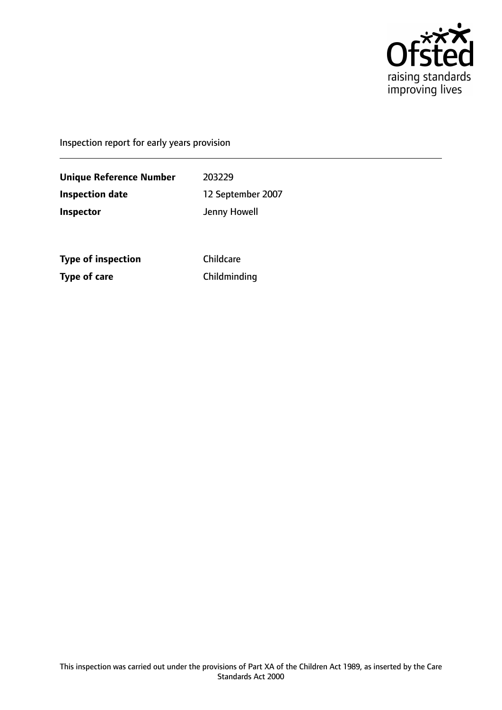

Inspection report for early years provision

**Unique Reference Number** 203229 **Inspection date** 12 September 2007 **Inspector Inspector Jenny Howell** 

**Type of inspection** Childcare **Type of care** Childminding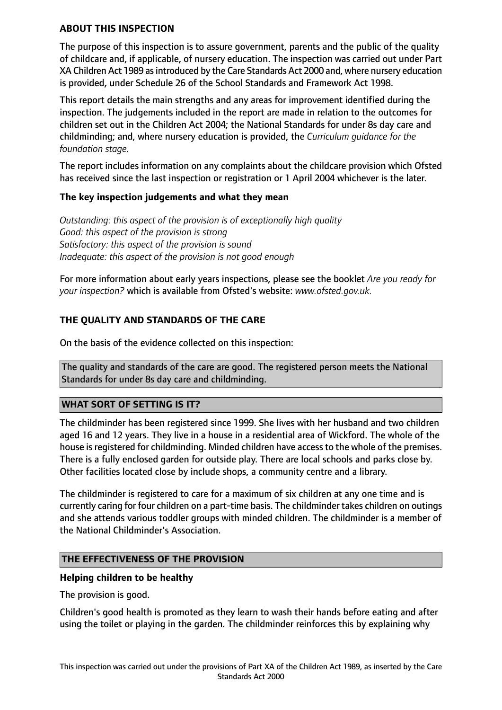#### **ABOUT THIS INSPECTION**

The purpose of this inspection is to assure government, parents and the public of the quality of childcare and, if applicable, of nursery education. The inspection was carried out under Part XA Children Act 1989 asintroduced by the Care Standards Act 2000 and, where nursery education is provided, under Schedule 26 of the School Standards and Framework Act 1998.

This report details the main strengths and any areas for improvement identified during the inspection. The judgements included in the report are made in relation to the outcomes for children set out in the Children Act 2004; the National Standards for under 8s day care and childminding; and, where nursery education is provided, the *Curriculum guidance for the foundation stage.*

The report includes information on any complaints about the childcare provision which Ofsted has received since the last inspection or registration or 1 April 2004 whichever is the later.

### **The key inspection judgements and what they mean**

*Outstanding: this aspect of the provision is of exceptionally high quality Good: this aspect of the provision is strong Satisfactory: this aspect of the provision is sound Inadequate: this aspect of the provision is not good enough*

For more information about early years inspections, please see the booklet *Are you ready for your inspection?* which is available from Ofsted's website: *www.ofsted.gov.uk.*

## **THE QUALITY AND STANDARDS OF THE CARE**

On the basis of the evidence collected on this inspection:

The quality and standards of the care are good. The registered person meets the National Standards for under 8s day care and childminding.

### **WHAT SORT OF SETTING IS IT?**

The childminder has been registered since 1999. She lives with her husband and two children aged 16 and 12 years. They live in a house in a residential area of Wickford. The whole of the house is registered for childminding. Minded children have access to the whole of the premises. There is a fully enclosed garden for outside play. There are local schools and parks close by. Other facilities located close by include shops, a community centre and a library.

The childminder is registered to care for a maximum of six children at any one time and is currently caring for four children on a part-time basis. The childminder takes children on outings and she attends various toddler groups with minded children. The childminder is a member of the National Childminder's Association.

### **THE EFFECTIVENESS OF THE PROVISION**

#### **Helping children to be healthy**

The provision is good.

Children's good health is promoted as they learn to wash their hands before eating and after using the toilet or playing in the garden. The childminder reinforces this by explaining why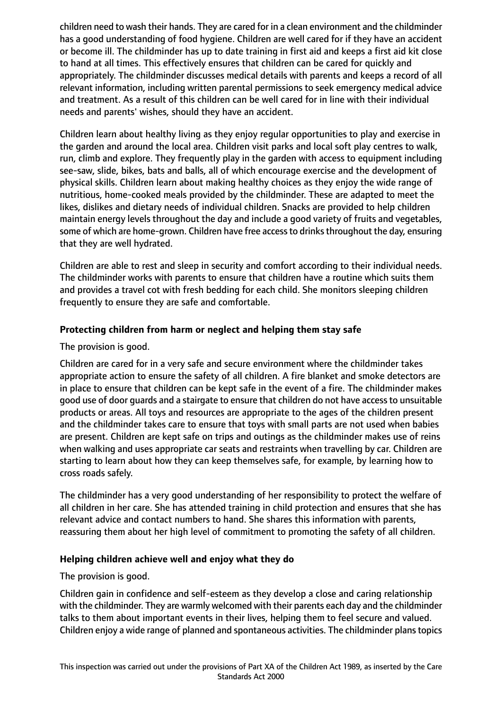children need to wash their hands. They are cared for in a clean environment and the childminder has a good understanding of food hygiene. Children are well cared for if they have an accident or become ill. The childminder has up to date training in first aid and keeps a first aid kit close to hand at all times. This effectively ensures that children can be cared for quickly and appropriately. The childminder discusses medical details with parents and keeps a record of all relevant information, including written parental permissions to seek emergency medical advice and treatment. As a result of this children can be well cared for in line with their individual needs and parents' wishes, should they have an accident.

Children learn about healthy living as they enjoy regular opportunities to play and exercise in the garden and around the local area. Children visit parks and local soft play centres to walk, run, climb and explore. They frequently play in the garden with access to equipment including see-saw, slide, bikes, bats and balls, all of which encourage exercise and the development of physical skills. Children learn about making healthy choices as they enjoy the wide range of nutritious, home-cooked meals provided by the childminder. These are adapted to meet the likes, dislikes and dietary needs of individual children. Snacks are provided to help children maintain energy levels throughout the day and include a good variety of fruits and vegetables, some of which are home-grown. Children have free access to drinks throughout the day, ensuring that they are well hydrated.

Children are able to rest and sleep in security and comfort according to their individual needs. The childminder works with parents to ensure that children have a routine which suits them and provides a travel cot with fresh bedding for each child. She monitors sleeping children frequently to ensure they are safe and comfortable.

# **Protecting children from harm or neglect and helping them stay safe**

The provision is good.

Children are cared for in a very safe and secure environment where the childminder takes appropriate action to ensure the safety of all children. A fire blanket and smoke detectors are in place to ensure that children can be kept safe in the event of a fire. The childminder makes good use of door guards and a stairgate to ensure that children do not have accessto unsuitable products or areas. All toys and resources are appropriate to the ages of the children present and the childminder takes care to ensure that toys with small parts are not used when babies are present. Children are kept safe on trips and outings as the childminder makes use of reins when walking and uses appropriate car seats and restraints when travelling by car. Children are starting to learn about how they can keep themselves safe, for example, by learning how to cross roads safely.

The childminder has a very good understanding of her responsibility to protect the welfare of all children in her care. She has attended training in child protection and ensures that she has relevant advice and contact numbers to hand. She shares this information with parents, reassuring them about her high level of commitment to promoting the safety of all children.

### **Helping children achieve well and enjoy what they do**

The provision is good.

Children gain in confidence and self-esteem as they develop a close and caring relationship with the childminder. They are warmly welcomed with their parents each day and the childminder talks to them about important events in their lives, helping them to feel secure and valued. Children enjoy a wide range of planned and spontaneous activities. The childminder planstopics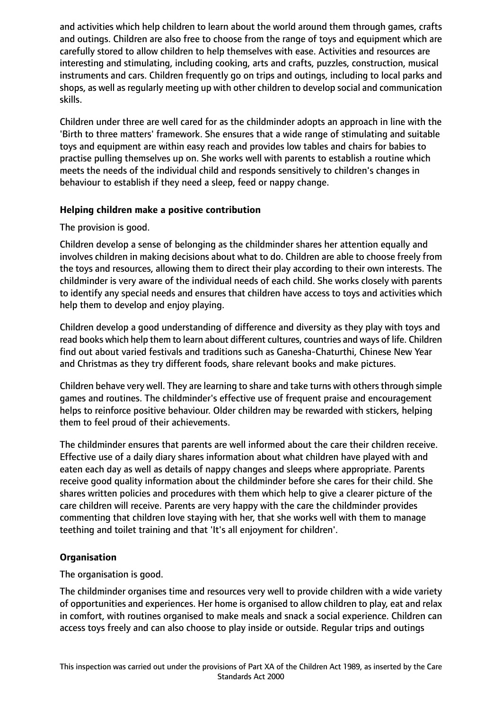and activities which help children to learn about the world around them through games, crafts and outings. Children are also free to choose from the range of toys and equipment which are carefully stored to allow children to help themselves with ease. Activities and resources are interesting and stimulating, including cooking, arts and crafts, puzzles, construction, musical instruments and cars. Children frequently go on trips and outings, including to local parks and shops, as well as regularly meeting up with other children to develop social and communication skills.

Children under three are well cared for as the childminder adopts an approach in line with the 'Birth to three matters' framework. She ensures that a wide range of stimulating and suitable toys and equipment are within easy reach and provides low tables and chairs for babies to practise pulling themselves up on. She works well with parents to establish a routine which meets the needs of the individual child and responds sensitively to children's changes in behaviour to establish if they need a sleep, feed or nappy change.

### **Helping children make a positive contribution**

The provision is good.

Children develop a sense of belonging as the childminder shares her attention equally and involves children in making decisions about what to do. Children are able to choose freely from the toys and resources, allowing them to direct their play according to their own interests. The childminder is very aware of the individual needs of each child. She works closely with parents to identify any special needs and ensures that children have access to toys and activities which help them to develop and enjoy playing.

Children develop a good understanding of difference and diversity as they play with toys and read books which help them to learn about different cultures, countries and ways of life. Children find out about varied festivals and traditions such as Ganesha-Chaturthi, Chinese New Year and Christmas as they try different foods, share relevant books and make pictures.

Children behave very well. They are learning to share and take turns with others through simple games and routines. The childminder's effective use of frequent praise and encouragement helps to reinforce positive behaviour. Older children may be rewarded with stickers, helping them to feel proud of their achievements.

The childminder ensures that parents are well informed about the care their children receive. Effective use of a daily diary shares information about what children have played with and eaten each day as well as details of nappy changes and sleeps where appropriate. Parents receive good quality information about the childminder before she cares for their child. She shares written policies and procedures with them which help to give a clearer picture of the care children will receive. Parents are very happy with the care the childminder provides commenting that children love staying with her, that she works well with them to manage teething and toilet training and that 'It's all enjoyment for children'.

### **Organisation**

The organisation is good.

The childminder organises time and resources very well to provide children with a wide variety of opportunities and experiences. Her home is organised to allow children to play, eat and relax in comfort, with routines organised to make meals and snack a social experience. Children can access toys freely and can also choose to play inside or outside. Regular trips and outings